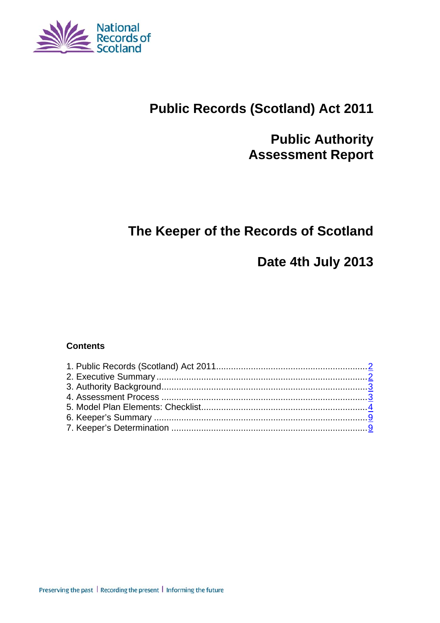

# **Public Records (Scotland) Act 2011**

# **Public Authority Assessment Report**

# **The Keeper of the Records of Scotland**

# **Date 4th July 2013**

#### **Contents**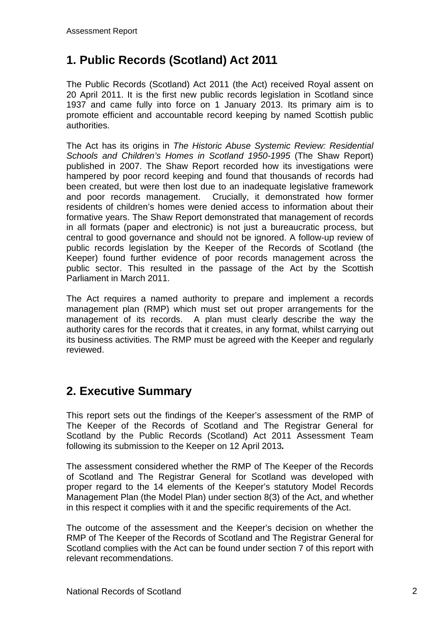## **1. Public Records (Scotland) Act 2011**

The Public Records (Scotland) Act 2011 (the Act) received Royal assent on 20 April 2011. It is the first new public records legislation in Scotland since 1937 and came fully into force on 1 January 2013. Its primary aim is to promote efficient and accountable record keeping by named Scottish public authorities.

The Act has its origins in *The Historic Abuse Systemic Review: Residential Schools and Children's Homes in Scotland 1950-1995* (The Shaw Report) published in 2007. The Shaw Report recorded how its investigations were hampered by poor record keeping and found that thousands of records had been created, but were then lost due to an inadequate legislative framework and poor records management. Crucially, it demonstrated how former residents of children's homes were denied access to information about their formative years. The Shaw Report demonstrated that management of records in all formats (paper and electronic) is not just a bureaucratic process, but central to good governance and should not be ignored. A follow-up review of public records legislation by the Keeper of the Records of Scotland (the Keeper) found further evidence of poor records management across the public sector. This resulted in the passage of the Act by the Scottish Parliament in March 2011.

The Act requires a named authority to prepare and implement a records management plan (RMP) which must set out proper arrangements for the management of its records. A plan must clearly describe the way the authority cares for the records that it creates, in any format, whilst carrying out its business activities. The RMP must be agreed with the Keeper and regularly reviewed.

### **2. Executive Summary**

This report sets out the findings of the Keeper's assessment of the RMP of The Keeper of the Records of Scotland and The Registrar General for Scotland by the Public Records (Scotland) Act 2011 Assessment Team following its submission to the Keeper on 12 April 2013*.*

The assessment considered whether the RMP of The Keeper of the Records of Scotland and The Registrar General for Scotland was developed with proper regard to the 14 elements of the Keeper's statutory Model Records Management Plan (the Model Plan) under section 8(3) of the Act, and whether in this respect it complies with it and the specific requirements of the Act.

The outcome of the assessment and the Keeper's decision on whether the RMP of The Keeper of the Records of Scotland and The Registrar General for Scotland complies with the Act can be found under section 7 of this report with relevant recommendations.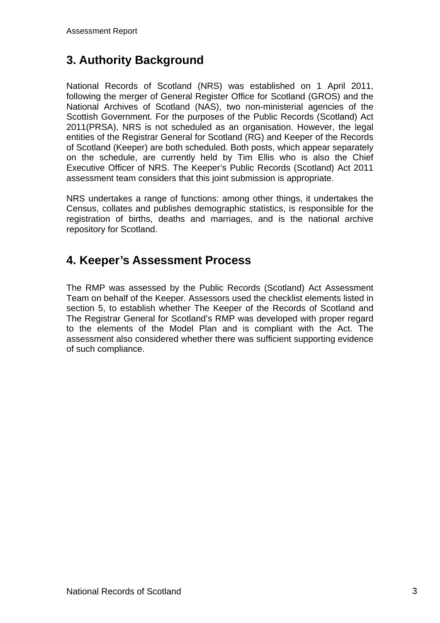## **3. Authority Background**

National Records of Scotland (NRS) was established on 1 April 2011, following the merger of General Register Office for Scotland (GROS) and the National Archives of Scotland (NAS), two non-ministerial agencies of the Scottish Government. For the purposes of the Public Records (Scotland) Act 2011(PRSA), NRS is not scheduled as an organisation. However, the legal entities of the Registrar General for Scotland (RG) and Keeper of the Records of Scotland (Keeper) are both scheduled. Both posts, which appear separately on the schedule, are currently held by Tim Ellis who is also the Chief Executive Officer of NRS. The Keeper's Public Records (Scotland) Act 2011 assessment team considers that this joint submission is appropriate.

NRS undertakes a range of functions: among other things, it undertakes the Census, collates and publishes demographic statistics, is responsible for the registration of births, deaths and marriages, and is the national archive repository for Scotland.

### **4. Keeper's Assessment Process**

The RMP was assessed by the Public Records (Scotland) Act Assessment Team on behalf of the Keeper. Assessors used the checklist elements listed in section 5, to establish whether The Keeper of the Records of Scotland and The Registrar General for Scotland's RMP was developed with proper regard to the elements of the Model Plan and is compliant with the Act. The assessment also considered whether there was sufficient supporting evidence of such compliance.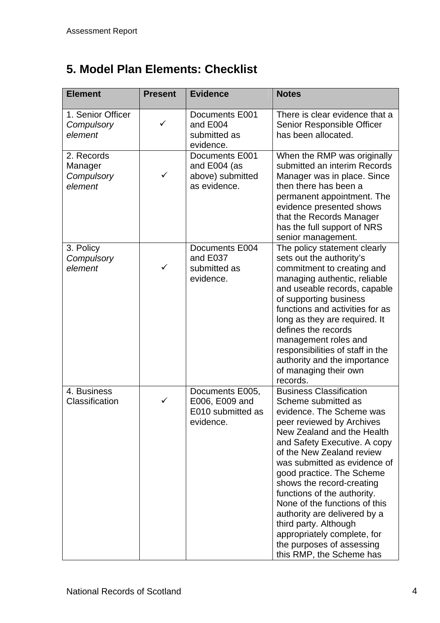# **5. Model Plan Elements: Checklist**

| <b>Element</b>                                 | <b>Present</b> | <b>Evidence</b>                                                     | <b>Notes</b>                                                                                                                                                                                                                                                                                                                                                                                                                                                                                                         |
|------------------------------------------------|----------------|---------------------------------------------------------------------|----------------------------------------------------------------------------------------------------------------------------------------------------------------------------------------------------------------------------------------------------------------------------------------------------------------------------------------------------------------------------------------------------------------------------------------------------------------------------------------------------------------------|
| 1. Senior Officer<br>Compulsory<br>element     | ✓              | Documents E001<br>and E004<br>submitted as<br>evidence.             | There is clear evidence that a<br>Senior Responsible Officer<br>has been allocated.                                                                                                                                                                                                                                                                                                                                                                                                                                  |
| 2. Records<br>Manager<br>Compulsory<br>element | $\checkmark$   | Documents E001<br>and E004 (as<br>above) submitted<br>as evidence.  | When the RMP was originally<br>submitted an interim Records<br>Manager was in place. Since<br>then there has been a<br>permanent appointment. The<br>evidence presented shows<br>that the Records Manager<br>has the full support of NRS<br>senior management.                                                                                                                                                                                                                                                       |
| 3. Policy<br>Compulsory<br>element             | ✓              | Documents E004<br>and E037<br>submitted as<br>evidence.             | The policy statement clearly<br>sets out the authority's<br>commitment to creating and<br>managing authentic, reliable<br>and useable records, capable<br>of supporting business<br>functions and activities for as<br>long as they are required. It<br>defines the records<br>management roles and<br>responsibilities of staff in the<br>authority and the importance<br>of managing their own<br>records.                                                                                                         |
| 4. Business<br>Classification                  | ✓              | Documents E005,<br>E006, E009 and<br>E010 submitted as<br>evidence. | <b>Business Classification</b><br>Scheme submitted as<br>evidence. The Scheme was<br>peer reviewed by Archives<br>New Zealand and the Health<br>and Safety Executive. A copy<br>of the New Zealand review<br>was submitted as evidence of<br>good practice. The Scheme<br>shows the record-creating<br>functions of the authority.<br>None of the functions of this<br>authority are delivered by a<br>third party. Although<br>appropriately complete, for<br>the purposes of assessing<br>this RMP, the Scheme has |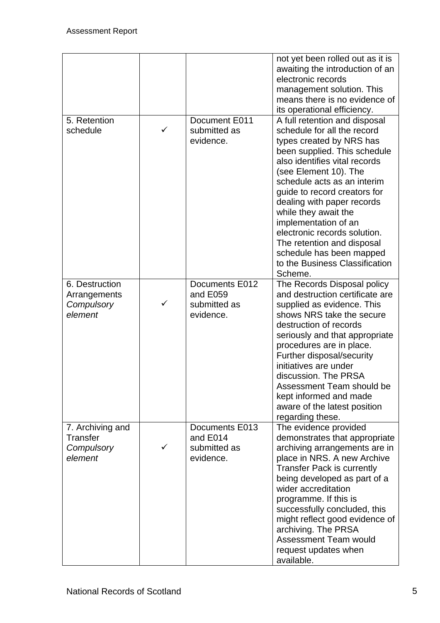|                                                              |              |                                                         | not yet been rolled out as it is<br>awaiting the introduction of an<br>electronic records<br>management solution. This<br>means there is no evidence of                                                                                                                                                                                                                                                                                                                                               |
|--------------------------------------------------------------|--------------|---------------------------------------------------------|-------------------------------------------------------------------------------------------------------------------------------------------------------------------------------------------------------------------------------------------------------------------------------------------------------------------------------------------------------------------------------------------------------------------------------------------------------------------------------------------------------|
| 5. Retention<br>schedule                                     | $\checkmark$ | Document E011<br>submitted as<br>evidence.              | its operational efficiency.<br>A full retention and disposal<br>schedule for all the record<br>types created by NRS has<br>been supplied. This schedule<br>also identifies vital records<br>(see Element 10). The<br>schedule acts as an interim<br>guide to record creators for<br>dealing with paper records<br>while they await the<br>implementation of an<br>electronic records solution.<br>The retention and disposal<br>schedule has been mapped<br>to the Business Classification<br>Scheme. |
| 6. Destruction<br>Arrangements<br>Compulsory<br>element      | ✓            | Documents E012<br>and E059<br>submitted as<br>evidence. | The Records Disposal policy<br>and destruction certificate are<br>supplied as evidence. This<br>shows NRS take the secure<br>destruction of records<br>seriously and that appropriate<br>procedures are in place.<br>Further disposal/security<br>initiatives are under<br>discussion. The PRSA<br>Assessment Team should be<br>kept informed and made<br>aware of the latest position<br>regarding these.                                                                                            |
| 7. Archiving and<br><b>Transfer</b><br>Compulsory<br>element |              | Documents E013<br>and E014<br>submitted as<br>evidence. | The evidence provided<br>demonstrates that appropriate<br>archiving arrangements are in<br>place in NRS. A new Archive<br><b>Transfer Pack is currently</b><br>being developed as part of a<br>wider accreditation<br>programme. If this is<br>successfully concluded, this<br>might reflect good evidence of<br>archiving. The PRSA<br><b>Assessment Team would</b><br>request updates when<br>available.                                                                                            |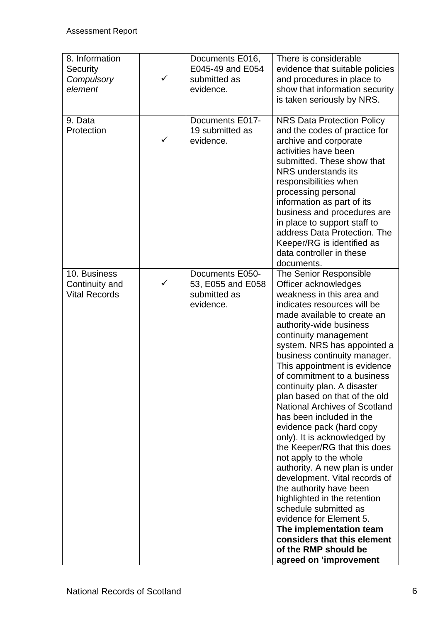| 8. Information<br>Security<br>Compulsory<br>element    |   | Documents E016,<br>E045-49 and E054<br>submitted as<br>evidence.  | There is considerable<br>evidence that suitable policies<br>and procedures in place to<br>show that information security<br>is taken seriously by NRS.                                                                                                                                                                                                                                                                                                                                                                                                                                                                                                                                                                                                                                                                                                                              |
|--------------------------------------------------------|---|-------------------------------------------------------------------|-------------------------------------------------------------------------------------------------------------------------------------------------------------------------------------------------------------------------------------------------------------------------------------------------------------------------------------------------------------------------------------------------------------------------------------------------------------------------------------------------------------------------------------------------------------------------------------------------------------------------------------------------------------------------------------------------------------------------------------------------------------------------------------------------------------------------------------------------------------------------------------|
| 9. Data<br>Protection                                  | ✓ | Documents E017-<br>19 submitted as<br>evidence.                   | <b>NRS Data Protection Policy</b><br>and the codes of practice for<br>archive and corporate<br>activities have been<br>submitted. These show that<br>NRS understands its<br>responsibilities when<br>processing personal<br>information as part of its<br>business and procedures are<br>in place to support staff to<br>address Data Protection. The<br>Keeper/RG is identified as<br>data controller in these<br>documents.                                                                                                                                                                                                                                                                                                                                                                                                                                                       |
| 10. Business<br>Continuity and<br><b>Vital Records</b> | ✓ | Documents E050-<br>53, E055 and E058<br>submitted as<br>evidence. | The Senior Responsible<br>Officer acknowledges<br>weakness in this area and<br>indicates resources will be<br>made available to create an<br>authority-wide business<br>continuity management<br>system. NRS has appointed a<br>business continuity manager.<br>This appointment is evidence<br>of commitment to a business<br>continuity plan. A disaster<br>plan based on that of the old<br><b>National Archives of Scotland</b><br>has been included in the<br>evidence pack (hard copy<br>only). It is acknowledged by<br>the Keeper/RG that this does<br>not apply to the whole<br>authority. A new plan is under<br>development. Vital records of<br>the authority have been<br>highlighted in the retention<br>schedule submitted as<br>evidence for Element 5.<br>The implementation team<br>considers that this element<br>of the RMP should be<br>agreed on 'improvement |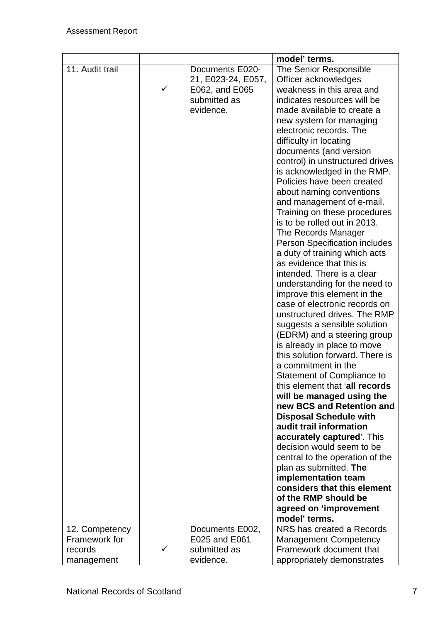|                 |              |                                                                                      | model' terms.                                                                                                                                                                                                                                                                                                                                                                                                                                                                                                                                                                                                                                                                                                                                                                                                                                                                                                                                                                                                                                                                                                                                                                                                                                                                                                                                                                |
|-----------------|--------------|--------------------------------------------------------------------------------------|------------------------------------------------------------------------------------------------------------------------------------------------------------------------------------------------------------------------------------------------------------------------------------------------------------------------------------------------------------------------------------------------------------------------------------------------------------------------------------------------------------------------------------------------------------------------------------------------------------------------------------------------------------------------------------------------------------------------------------------------------------------------------------------------------------------------------------------------------------------------------------------------------------------------------------------------------------------------------------------------------------------------------------------------------------------------------------------------------------------------------------------------------------------------------------------------------------------------------------------------------------------------------------------------------------------------------------------------------------------------------|
| 11. Audit trail | $\checkmark$ | Documents E020-<br>21, E023-24, E057,<br>E062, and E065<br>submitted as<br>evidence. | The Senior Responsible<br>Officer acknowledges<br>weakness in this area and<br>indicates resources will be<br>made available to create a<br>new system for managing<br>electronic records. The<br>difficulty in locating<br>documents (and version<br>control) in unstructured drives<br>is acknowledged in the RMP.<br>Policies have been created<br>about naming conventions<br>and management of e-mail.<br>Training on these procedures<br>is to be rolled out in 2013.<br>The Records Manager<br><b>Person Specification includes</b><br>a duty of training which acts<br>as evidence that this is<br>intended. There is a clear<br>understanding for the need to<br>improve this element in the<br>case of electronic records on<br>unstructured drives. The RMP<br>suggests a sensible solution<br>(EDRM) and a steering group<br>is already in place to move<br>this solution forward. There is<br>a commitment in the<br><b>Statement of Compliance to</b><br>this element that 'all records<br>will be managed using the<br>new BCS and Retention and<br><b>Disposal Schedule with</b><br>audit trail information<br>accurately captured'. This<br>decision would seem to be<br>central to the operation of the<br>plan as submitted. The<br>implementation team<br>considers that this element<br>of the RMP should be<br>agreed on 'improvement<br>model' terms. |
| 12. Competency  |              | Documents E002,                                                                      | NRS has created a Records                                                                                                                                                                                                                                                                                                                                                                                                                                                                                                                                                                                                                                                                                                                                                                                                                                                                                                                                                                                                                                                                                                                                                                                                                                                                                                                                                    |
| Framework for   |              | E025 and E061                                                                        | <b>Management Competency</b>                                                                                                                                                                                                                                                                                                                                                                                                                                                                                                                                                                                                                                                                                                                                                                                                                                                                                                                                                                                                                                                                                                                                                                                                                                                                                                                                                 |
| records         | ✓            | submitted as                                                                         | Framework document that                                                                                                                                                                                                                                                                                                                                                                                                                                                                                                                                                                                                                                                                                                                                                                                                                                                                                                                                                                                                                                                                                                                                                                                                                                                                                                                                                      |
| management      |              | evidence.                                                                            | appropriately demonstrates                                                                                                                                                                                                                                                                                                                                                                                                                                                                                                                                                                                                                                                                                                                                                                                                                                                                                                                                                                                                                                                                                                                                                                                                                                                                                                                                                   |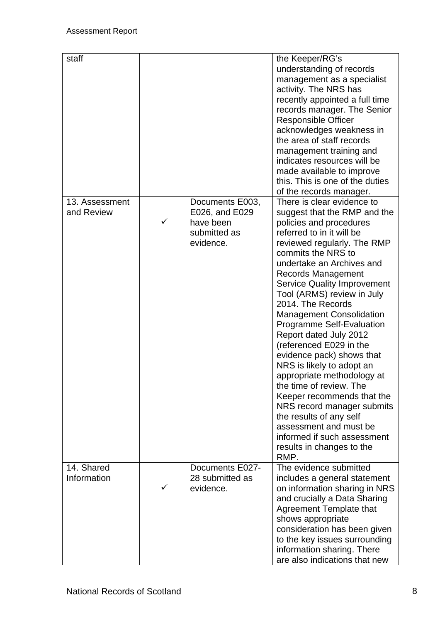| staff                        |   |                                                                             | the Keeper/RG's<br>understanding of records<br>management as a specialist<br>activity. The NRS has<br>recently appointed a full time<br>records manager. The Senior<br><b>Responsible Officer</b><br>acknowledges weakness in<br>the area of staff records<br>management training and<br>indicates resources will be<br>made available to improve<br>this. This is one of the duties<br>of the records manager.                                                                                                                                                                                                                                                                                                                                                |
|------------------------------|---|-----------------------------------------------------------------------------|----------------------------------------------------------------------------------------------------------------------------------------------------------------------------------------------------------------------------------------------------------------------------------------------------------------------------------------------------------------------------------------------------------------------------------------------------------------------------------------------------------------------------------------------------------------------------------------------------------------------------------------------------------------------------------------------------------------------------------------------------------------|
| 13. Assessment<br>and Review | ✓ | Documents E003,<br>E026, and E029<br>have been<br>submitted as<br>evidence. | There is clear evidence to<br>suggest that the RMP and the<br>policies and procedures<br>referred to in it will be<br>reviewed regularly. The RMP<br>commits the NRS to<br>undertake an Archives and<br><b>Records Management</b><br><b>Service Quality Improvement</b><br>Tool (ARMS) review in July<br>2014. The Records<br><b>Management Consolidation</b><br><b>Programme Self-Evaluation</b><br>Report dated July 2012<br>(referenced E029 in the<br>evidence pack) shows that<br>NRS is likely to adopt an<br>appropriate methodology at<br>the time of review. The<br>Keeper recommends that the<br>NRS record manager submits<br>the results of any self<br>assessment and must be<br>informed if such assessment<br>results in changes to the<br>RMP. |
| 14. Shared<br>Information    |   | Documents E027-<br>28 submitted as<br>evidence.                             | The evidence submitted<br>includes a general statement<br>on information sharing in NRS<br>and crucially a Data Sharing<br><b>Agreement Template that</b><br>shows appropriate<br>consideration has been given<br>to the key issues surrounding<br>information sharing. There<br>are also indications that new                                                                                                                                                                                                                                                                                                                                                                                                                                                 |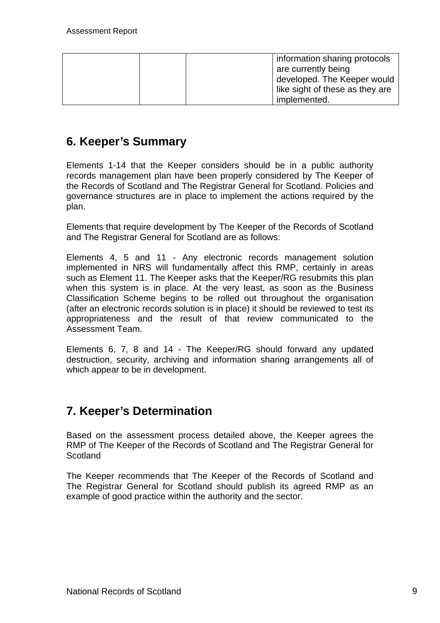| information sharing protocols<br>I are currently being<br>developed. The Keeper would<br>like sight of these as they are |
|--------------------------------------------------------------------------------------------------------------------------|
| implemented.                                                                                                             |

#### **6. Keeper's Summary**

Elements 1-14 that the Keeper considers should be in a public authority records management plan have been properly considered by The Keeper of the Records of Scotland and The Registrar General for Scotland. Policies and governance structures are in place to implement the actions required by the plan.

Elements that require development by The Keeper of the Records of Scotland and The Registrar General for Scotland are as follows:

Elements 4, 5 and 11 - Any electronic records management solution implemented in NRS will fundamentally affect this RMP, certainly in areas such as Element 11. The Keeper asks that the Keeper/RG resubmits this plan when this system is in place. At the very least, as soon as the Business Classification Scheme begins to be rolled out throughout the organisation (after an electronic records solution is in place) it should be reviewed to test its appropriateness and the result of that review communicated to the Assessment Team.

Elements 6, 7, 8 and 14 - The Keeper/RG should forward any updated destruction, security, archiving and information sharing arrangements all of which appear to be in development.

#### **7. Keeper's Determination**

Based on the assessment process detailed above, the Keeper agrees the RMP of The Keeper of the Records of Scotland and The Registrar General for **Scotland** 

The Keeper recommends that The Keeper of the Records of Scotland and The Registrar General for Scotland should publish its agreed RMP as an example of good practice within the authority and the sector.